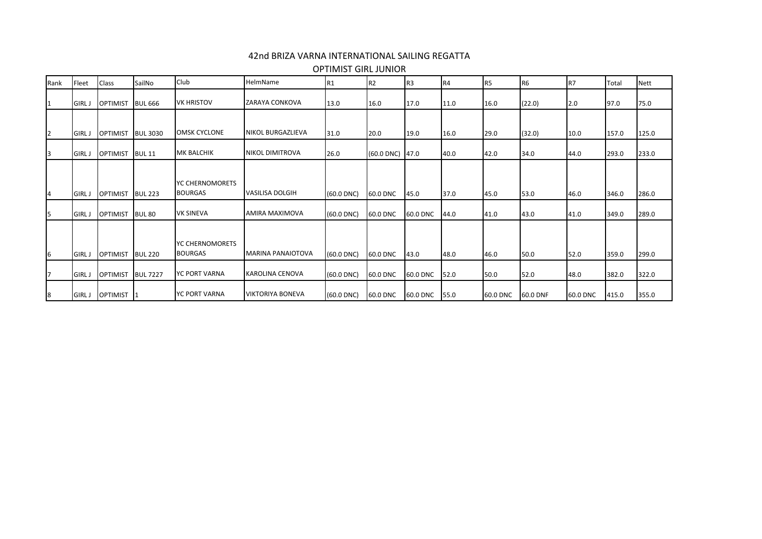## 42nd BRIZA VARNA INTERNATIONAL SAILING REGATTA

| Rank | Fleet                        | <b>Class</b>                       | SailNo                           | Club                              | HelmName                 | R <sub>1</sub> | R <sub>2</sub>       | R <sub>3</sub> | R4           | R <sub>5</sub> | R <sub>6</sub> | IR <sub>7</sub> | Total          | <b>Nett</b>    |
|------|------------------------------|------------------------------------|----------------------------------|-----------------------------------|--------------------------|----------------|----------------------|----------------|--------------|----------------|----------------|-----------------|----------------|----------------|
|      | <b>GIRLJ</b>                 | <b>OPTIMIST</b>                    | <b>BUL 666</b>                   | <b>VK HRISTOV</b>                 | <b>ZARAYA CONKOVA</b>    | 13.0           | 16.0                 | 17.0           | 11.0         | 16.0           | (22.0)         | 2.0             | 97.0           | 75.0           |
|      |                              |                                    |                                  | <b>OMSK CYCLONE</b>               | <b>NIKOL BURGAZLIEVA</b> |                |                      |                |              |                |                |                 |                |                |
|      | <b>GIRLJ</b><br><b>GIRLJ</b> | <b>OPTIMIST</b><br><b>OPTIMIST</b> | <b>BUL 3030</b><br><b>BUL 11</b> | <b>MK BALCHIK</b>                 | <b>NIKOL DIMITROVA</b>   | 31.0<br>26.0   | 20.0<br>$(60.0$ DNC) | 19.0<br>47.0   | 16.0<br>40.0 | 29.0<br>42.0   | (32.0)<br>34.0 | 10.0<br>44.0    | 157.0<br>293.0 | 125.0<br>233.0 |
|      | <b>GIRLJ</b>                 | <b>OPTIMIST</b>                    | <b>BUL 223</b>                   | YC CHERNOMORETS<br><b>BOURGAS</b> | <b>VASILISA DOLGIH</b>   | $(60.0$ DNC)   | 60.0 DNC             | 45.0           | 37.0         | 45.0           | 53.0           | 46.0            | 346.0          | 286.0          |
| 15.  | <b>GIRLJ</b>                 | <b>OPTIMIST</b>                    | <b>BUL 80</b>                    | <b>VK SINEVA</b>                  | <b>AMIRA MAXIMOVA</b>    | $(60.0$ DNC)   | 60.0 DNC             | 60.0 DNC       | 44.0         | 41.0           | 43.0           | 41.0            | 349.0          | 289.0          |
| 16   | <b>GIRL J</b>                | <b>OPTIMIST</b>                    | <b>BUL 220</b>                   | YC CHERNOMORETS<br><b>BOURGAS</b> | <b>MARINA PANAIOTOVA</b> | $(60.0$ DNC)   | 60.0 DNC             | 43.0           | 48.0         | 46.0           | 50.0           | 52.0            | 359.0          | 299.0          |
|      | <b>GIRL J</b>                | <b>OPTIMIST</b>                    | <b>BUL 7227</b>                  | <b>YC PORT VARNA</b>              | KAROLINA CENOVA          | $(60.0$ DNC)   | 60.0 DNC             | 60.0 DNC       | 52.0         | 50.0           | 52.0           | 48.0            | 382.0          | 322.0          |
| 18   | <b>GIRL J</b>                | OPTIMIST 1                         |                                  | <b>YC PORT VARNA</b>              | <b>VIKTORIYA BONEVA</b>  | $(60.0$ DNC)   | 60.0 DNC             | 60.0 DNC       | 55.0         | 60.0 DNC       | 60.0 DNF       | 60.0 DNC        | 415.0          | 355.0          |

OPTIMIST GIRL JUNIOR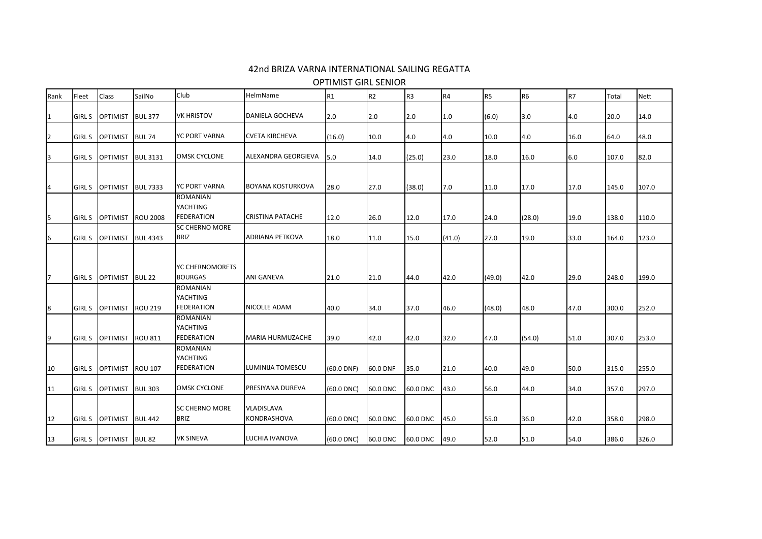## 42nd BRIZA VARNA INTERNATIONAL SAILING REGATTA

OPTIMIST GIRL SENIOR

| Rank | Fleet         | Class           | SailNo          | Club                                                    | HelmName                  | R <sub>1</sub>  | R <sub>2</sub> | R <sub>3</sub> | R <sub>4</sub> | R <sub>5</sub> | R <sub>6</sub> | R7   | Total | <b>Nett</b> |
|------|---------------|-----------------|-----------------|---------------------------------------------------------|---------------------------|-----------------|----------------|----------------|----------------|----------------|----------------|------|-------|-------------|
| 1    | <b>GIRL S</b> | <b>OPTIMIST</b> | <b>BUL 377</b>  | <b>VK HRISTOV</b>                                       | <b>DANIELA GOCHEVA</b>    | 2.0             | 2.0            | 2.0            | 1.0            | (6.0)          | 3.0            | 4.0  | 20.0  | 14.0        |
| 2    | GIRL S        | OPTIMIST        | <b>BUL 74</b>   | YC PORT VARNA                                           | <b>CVETA KIRCHEVA</b>     | (16.0)          | 10.0           | 4.0            | 4.0            | 10.0           | 4.0            | 16.0 | 64.0  | 48.0        |
| 13   | <b>GIRL S</b> | <b>OPTIMIST</b> | <b>BUL 3131</b> | <b>OMSK CYCLONE</b>                                     | ALEXANDRA GEORGIEVA       | 5.0             | 14.0           | (25.0)         | 23.0           | 18.0           | 16.0           | 6.0  | 107.0 | 82.0        |
|      |               | <b>OPTIMIST</b> | <b>BUL 7333</b> | <b>YC PORT VARNA</b>                                    | <b>BOYANA KOSTURKOVA</b>  | 28.0            | 27.0           | (38.0)         | 7.0            | 11.0           | 17.0           | 17.0 | 145.0 | 107.0       |
| 4    | <b>GIRL S</b> |                 |                 | <b>ROMANIAN</b><br>YACHTING                             |                           |                 |                |                |                |                |                |      |       |             |
| 15   | <b>GIRL S</b> | <b>OPTIMIST</b> | <b>ROU 2008</b> | <b>FEDERATION</b>                                       | <b>CRISTINA PATACHE</b>   | 12.0            | 26.0           | 12.0           | 17.0           | 24.0           | (28.0)         | 19.0 | 138.0 | 110.0       |
| 6    | <b>GIRL S</b> | OPTIMIST        | <b>BUL 4343</b> | <b>SC CHERNO MORE</b><br><b>BRIZ</b>                    | <b>ADRIANA PETKOVA</b>    | 18.0            | 11.0           | 15.0           | (41.0)         | 27.0           | 19.0           | 33.0 | 164.0 | 123.0       |
| 17   | <b>GIRL S</b> | <b>OPTIMIST</b> | <b>BUL 22</b>   | YC CHERNOMORETS<br><b>BOURGAS</b>                       | <b>ANI GANEVA</b>         | 21.0            | 21.0           | 44.0           | 42.0           | (49.0)         | 42.0           | 29.0 | 248.0 | 199.0       |
| 8    | <b>GIRL S</b> | <b>OPTIMIST</b> | <b>ROU 219</b>  | <b>ROMANIAN</b><br>YACHTING<br><b>FEDERATION</b>        | NICOLLE ADAM              | 40.0            | 34.0           | 37.0           | 46.0           | (48.0)         | 48.0           | 47.0 | 300.0 | 252.0       |
| 19   | <b>GIRL S</b> | <b>OPTIMIST</b> | <b>ROU 811</b>  | <b>ROMANIAN</b><br>YACHTING<br><b>FEDERATION</b>        | <b>MARIA HURMUZACHE</b>   | 39.0            | 42.0           | 42.0           | 32.0           | 47.0           | (54.0)         | 51.0 | 307.0 | 253.0       |
| 10   | GIRL S        | <b>OPTIMIST</b> | <b>ROU 107</b>  | <b>ROMANIAN</b><br><b>YACHTING</b><br><b>FEDERATION</b> | LUMINIJA TOMESCU          | $(60.0$ DNF)    | 60.0 DNF       | 35.0           | 21.0           | 40.0           | 49.0           | 50.0 | 315.0 | 255.0       |
| 11   | <b>GIRL S</b> | OPTIMIST        | <b>BUL 303</b>  | <b>OMSK CYCLONE</b>                                     | PRESIYANA DUREVA          | $(60.0$ DNC)    | 60.0 DNC       | 60.0 DNC       | 43.0           | 56.0           | 44.0           | 34.0 | 357.0 | 297.0       |
| 12   |               | GIRLS OPTIMIST  | <b>BUL 442</b>  | <b>SC CHERNO MORE</b><br><b>BRIZ</b>                    | VLADISLAVA<br>KONDRASHOVA | $(60.0$ DNC)    | 60.0 DNC       | 60.0 DNC       | 45.0           | 55.0           | 36.0           | 42.0 | 358.0 | 298.0       |
| 13   |               | GIRLS OPTIMIST  | <b>BUL 82</b>   | <b>VK SINEVA</b>                                        | LUCHIA IVANOVA            | $(60.0$ DNC $)$ | 60.0 DNC       | 60.0 DNC       | 49.0           | 52.0           | 51.0           | 54.0 | 386.0 | 326.0       |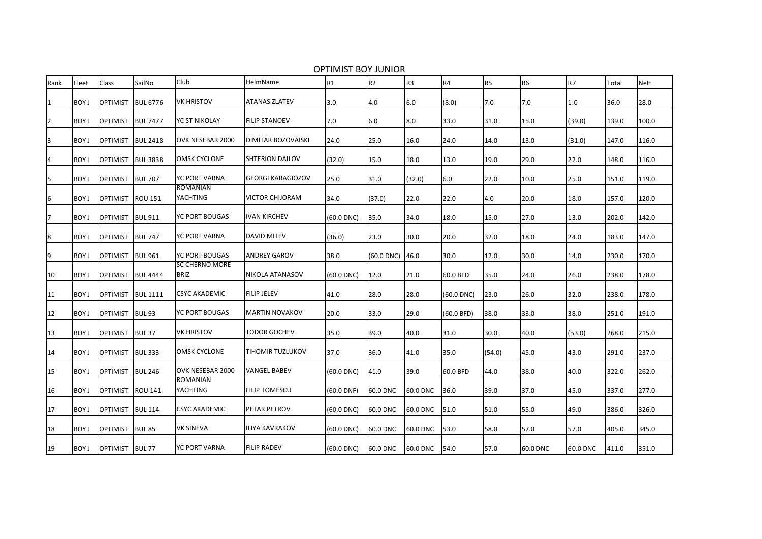| Rank           | Fleet        | <b>Class</b>    | SailNo          | Club                                 | HelmName                  | R <sub>1</sub>  | R2         | R <sub>3</sub> | R4         | R <sub>5</sub> | R <sub>6</sub> | <b>R7</b> | Total | <b>Nett</b> |
|----------------|--------------|-----------------|-----------------|--------------------------------------|---------------------------|-----------------|------------|----------------|------------|----------------|----------------|-----------|-------|-------------|
| 1              | BOY J        | <b>OPTIMIST</b> | <b>BUL 6776</b> | <b>VK HRISTOV</b>                    | <b>ATANAS ZLATEV</b>      | 3.0             | 4.0        | 6.0            | (8.0)      | 7.0            | 7.0            | 1.0       | 36.0  | 28.0        |
| $\overline{2}$ | BOY J        | <b>OPTIMIST</b> | <b>BUL 7477</b> | YC ST NIKOLAY                        | <b>FILIP STANOEV</b>      | 7.0             | 6.0        | 8.0            | 33.0       | 31.0           | 15.0           | (39.0)    | 139.0 | 100.0       |
| 3              | BOY J        | <b>OPTIMIST</b> | <b>BUL 2418</b> | OVK NESEBAR 2000                     | <b>DIMITAR BOZOVAISKI</b> | 24.0            | 25.0       | 16.0           | 24.0       | 14.0           | 13.0           | (31.0)    | 147.0 | 116.0       |
| 4              | <b>BOY J</b> | <b>OPTIMIST</b> | <b>BUL 3838</b> | <b>OMSK CYCLONE</b>                  | SHTERION DAILOV           | (32.0)          | 15.0       | 18.0           | 13.0       | 19.0           | 29.0           | 22.0      | 148.0 | 116.0       |
| 5              | <b>BOY J</b> | <b>OPTIMIST</b> | <b>BUL 707</b>  | YC PORT VARNA                        | <b>GEORGI KARAGIOZOV</b>  | 25.0            | 31.0       | (32.0)         | 6.0        | 22.0           | 10.0           | 25.0      | 151.0 | 119.0       |
| 6              | <b>BOY J</b> | <b>OPTIMIST</b> | <b>ROU 151</b>  | <b>ROMANIAN</b><br>YACHTING          | VICTOR CHIJORAM           | 34.0            | (37.0)     | 22.0           | 22.0       | 4.0            | 20.0           | 18.0      | 157.0 | 120.0       |
| 7              | BOY J        | <b>OPTIMIST</b> | <b>BUL 911</b>  | YC PORT BOUGAS                       | <b>IVAN KIRCHEV</b>       | $(60.0$ DNC $)$ | 35.0       | 34.0           | 18.0       | 15.0           | 27.0           | 13.0      | 202.0 | 142.0       |
| 8              | <b>BOY J</b> | <b>OPTIMIST</b> | <b>BUL 747</b>  | <b>YC PORT VARNA</b>                 | <b>DAVID MITEV</b>        | (36.0)          | 23.0       | 30.0           | 20.0       | 32.0           | 18.0           | 24.0      | 183.0 | 147.0       |
| 9              | BOY J        | <b>OPTIMIST</b> | <b>BUL 961</b>  | YC PORT BOUGAS                       | <b>ANDREY GAROV</b>       | 38.0            | (60.0 DNC) | 46.0           | 30.0       | 12.0           | 30.0           | 14.0      | 230.0 | 170.0       |
| 10             | BOY J        | <b>OPTIMIST</b> | <b>BUL 4444</b> | <b>SC CHERNO MORE</b><br><b>BRIZ</b> | NIKOLA ATANASOV           | $(60.0$ DNC)    | 12.0       | 21.0           | 60.0 BFD   | 35.0           | 24.0           | 26.0      | 238.0 | 178.0       |
| 11             | BOY J        | <b>OPTIMIST</b> | <b>BUL 1111</b> | CSYC AKADEMIC                        | <b>FILIP JELEV</b>        | 41.0            | 28.0       | 28.0           | (60.0 DNC) | 23.0           | 26.0           | 32.0      | 238.0 | 178.0       |
| 12             | <b>BOY J</b> | <b>OPTIMIST</b> | <b>BUL 93</b>   | YC PORT BOUGAS                       | <b>MARTIN NOVAKOV</b>     | 20.0            | 33.0       | 29.0           | (60.0 BFD) | 38.0           | 33.0           | 38.0      | 251.0 | 191.0       |
| 13             | <b>BOY J</b> | <b>OPTIMIST</b> | <b>BUL37</b>    | <b>VK HRISTOV</b>                    | TODOR GOCHEV              | 35.0            | 39.0       | 40.0           | 31.0       | 30.0           | 40.0           | (53.0)    | 268.0 | 215.0       |
| 14             | <b>BOY J</b> | <b>OPTIMIST</b> | <b>BUL333</b>   | <b>OMSK CYCLONE</b>                  | TIHOMIR TUZLUKOV          | 37.0            | 36.0       | 41.0           | 35.0       | (54.0)         | 45.0           | 43.0      | 291.0 | 237.0       |
| 15             | <b>BOY J</b> | <b>OPTIMIST</b> | <b>BUL 246</b>  | OVK NESEBAR 2000                     | VANGEL BABEV              | $(60.0$ DNC)    | 41.0       | 39.0           | 60.0 BFD   | 44.0           | 38.0           | 40.0      | 322.0 | 262.0       |
| 16             | BOY J        | <b>OPTIMIST</b> | <b>ROU 141</b>  | ROMANIAN<br><b>YACHTING</b>          | <b>FILIP TOMESCU</b>      | $(60.0$ DNF)    | 60.0 DNC   | 60.0 DNC       | 36.0       | 39.0           | 37.0           | 45.0      | 337.0 | 277.0       |
| 17             | <b>BOY J</b> | <b>OPTIMIST</b> | <b>BUL 114</b>  | CSYC AKADEMIC                        | PETAR PETROV              | $(60.0$ DNC $)$ | 60.0 DNC   | 60.0 DNC       | 51.0       | 51.0           | 55.0           | 49.0      | 386.0 | 326.0       |
| 18             | <b>BOY J</b> | <b>OPTIMIST</b> | <b>BUL 85</b>   | <b>VK SINEVA</b>                     | <b>ILIYA KAVRAKOV</b>     | $(60.0$ DNC $)$ | 60.0 DNC   | 60.0 DNC       | 53.0       | 58.0           | 57.0           | 57.0      | 405.0 | 345.0       |
| 19             | BOY J        | OPTIMIST BUL 77 |                 | YC PORT VARNA                        | <b>FILIP RADEV</b>        | $(60.0$ DNC $)$ | 60.0 DNC   | 60.0 DNC       | 54.0       | 57.0           | 60.0 DNC       | 60.0 DNC  | 411.0 | 351.0       |

OPTIMIST BOY JUNIOR